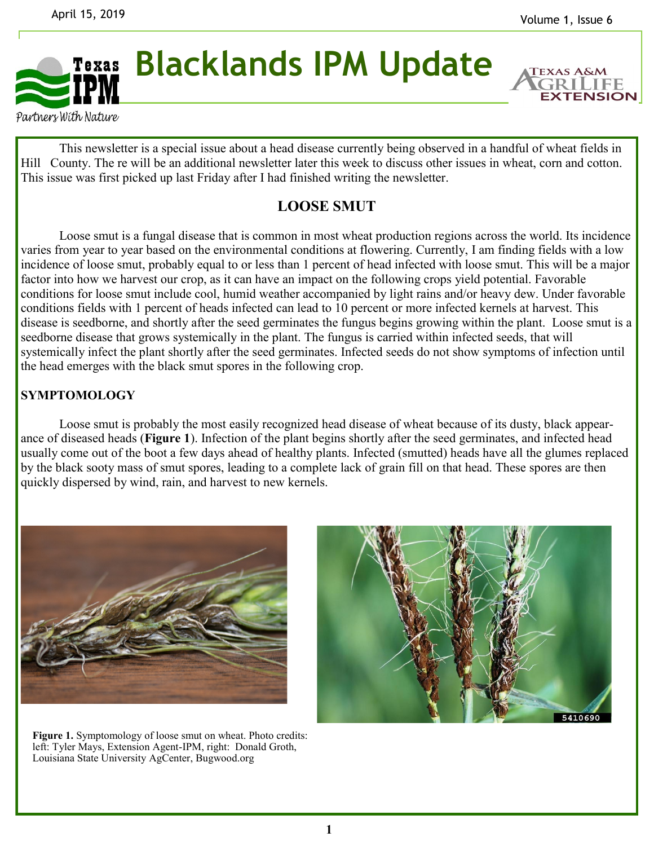**EXTENSION** 



Partners With Nature

This newsletter is a special issue about a head disease currently being observed in a handful of wheat fields in Hill County. The re will be an additional newsletter later this week to discuss other issues in wheat, corn and cotton. This issue was first picked up last Friday after I had finished writing the newsletter.

## **LOOSE SMUT**

Loose smut is a fungal disease that is common in most wheat production regions across the world. Its incidence varies from year to year based on the environmental conditions at flowering. Currently, I am finding fields with a low incidence of loose smut, probably equal to or less than 1 percent of head infected with loose smut. This will be a major factor into how we harvest our crop, as it can have an impact on the following crops yield potential. Favorable conditions for loose smut include cool, humid weather accompanied by light rains and/or heavy dew. Under favorable conditions fields with 1 percent of heads infected can lead to 10 percent or more infected kernels at harvest. This disease is seedborne, and shortly after the seed germinates the fungus begins growing within the plant. Loose smut is a seedborne disease that grows systemically in the plant. The fungus is carried within infected seeds, that will systemically infect the plant shortly after the seed germinates. Infected seeds do not show symptoms of infection until the head emerges with the black smut spores in the following crop.

## **SYMPTOMOLOGY**

Loose smut is probably the most easily recognized head disease of wheat because of its dusty, black appearance of diseased heads (**Figure 1**). Infection of the plant begins shortly after the seed germinates, and infected head usually come out of the boot a few days ahead of healthy plants. Infected (smutted) heads have all the glumes replaced by the black sooty mass of smut spores, leading to a complete lack of grain fill on that head. These spores are then quickly dispersed by wind, rain, and harvest to new kernels.



**Figure 1.** Symptomology of loose smut on wheat. Photo credits: left: Tyler Mays, Extension Agent-IPM, right: Donald Groth, Louisiana State University AgCenter, Bugwood.org